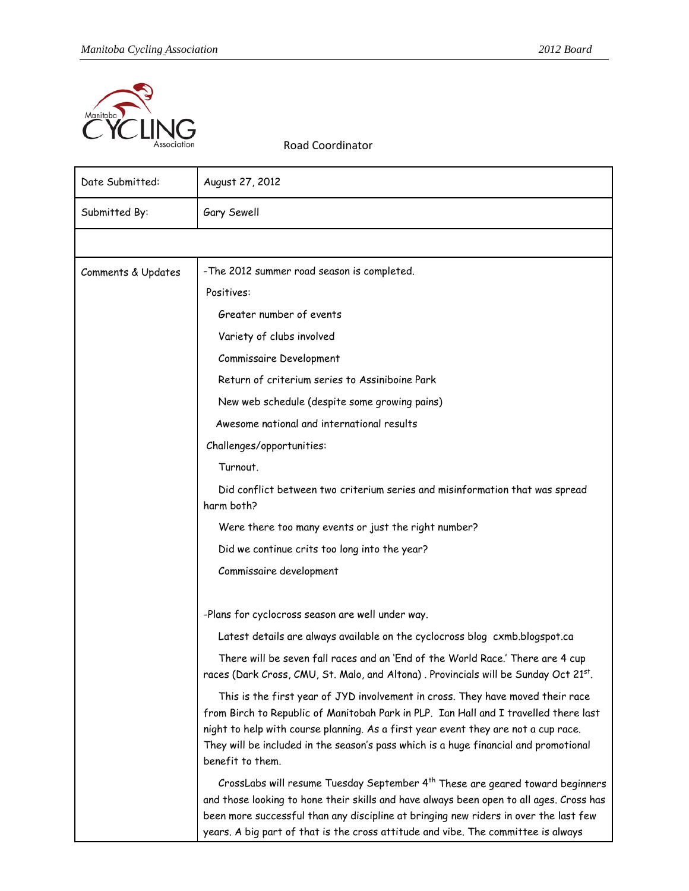

Road Coordinator

| Date Submitted:    | August 27, 2012                                                                                                                                                                                                                                                                                                                                                          |
|--------------------|--------------------------------------------------------------------------------------------------------------------------------------------------------------------------------------------------------------------------------------------------------------------------------------------------------------------------------------------------------------------------|
| Submitted By:      | Gary Sewell                                                                                                                                                                                                                                                                                                                                                              |
|                    |                                                                                                                                                                                                                                                                                                                                                                          |
| Comments & Updates | -The 2012 summer road season is completed.                                                                                                                                                                                                                                                                                                                               |
|                    | Positives:                                                                                                                                                                                                                                                                                                                                                               |
|                    | Greater number of events                                                                                                                                                                                                                                                                                                                                                 |
|                    | Variety of clubs involved                                                                                                                                                                                                                                                                                                                                                |
|                    | Commissaire Development                                                                                                                                                                                                                                                                                                                                                  |
|                    | Return of criterium series to Assiniboine Park                                                                                                                                                                                                                                                                                                                           |
|                    | New web schedule (despite some growing pains)                                                                                                                                                                                                                                                                                                                            |
|                    | Awesome national and international results                                                                                                                                                                                                                                                                                                                               |
|                    | Challenges/opportunities:                                                                                                                                                                                                                                                                                                                                                |
|                    | Turnout.                                                                                                                                                                                                                                                                                                                                                                 |
|                    | Did conflict between two criterium series and misinformation that was spread<br>harm both?                                                                                                                                                                                                                                                                               |
|                    | Were there too many events or just the right number?                                                                                                                                                                                                                                                                                                                     |
|                    | Did we continue crits too long into the year?                                                                                                                                                                                                                                                                                                                            |
|                    | Commissaire development                                                                                                                                                                                                                                                                                                                                                  |
|                    | -Plans for cyclocross season are well under way.                                                                                                                                                                                                                                                                                                                         |
|                    | Latest details are always available on the cyclocross blog cxmb.blogspot.ca                                                                                                                                                                                                                                                                                              |
|                    | There will be seven fall races and an 'End of the World Race.' There are 4 cup<br>races (Dark Cross, CMU, St. Malo, and Altona). Provincials will be Sunday Oct 21st.                                                                                                                                                                                                    |
|                    | This is the first year of JYD involvement in cross. They have moved their race<br>from Birch to Republic of Manitobah Park in PLP. Ian Hall and I travelled there last<br>night to help with course planning. As a first year event they are not a cup race.<br>They will be included in the season's pass which is a huge financial and promotional<br>benefit to them. |
|                    | CrossLabs will resume Tuesday September 4 <sup>th</sup> These are geared toward beginners<br>and those looking to hone their skills and have always been open to all ages. Cross has<br>been more successful than any discipline at bringing new riders in over the last few<br>years. A big part of that is the cross attitude and vibe. The committee is always        |